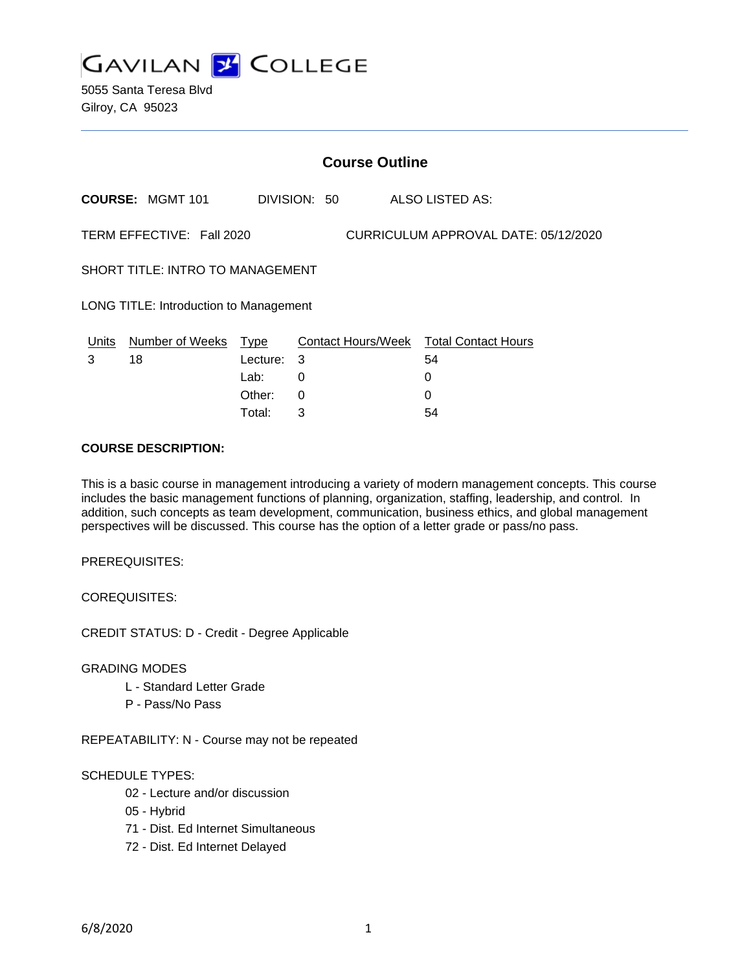

5055 Santa Teresa Blvd Gilroy, CA 95023

|                                                                   | <b>Course Outline</b>            |                  |              |  |                                                   |  |  |
|-------------------------------------------------------------------|----------------------------------|------------------|--------------|--|---------------------------------------------------|--|--|
|                                                                   | <b>COURSE: MGMT 101</b>          |                  | DIVISION: 50 |  | ALSO LISTED AS:                                   |  |  |
| TERM EFFECTIVE: Fall 2020<br>CURRICULUM APPROVAL DATE: 05/12/2020 |                                  |                  |              |  |                                                   |  |  |
| <b>SHORT TITLE: INTRO TO MANAGEMENT</b>                           |                                  |                  |              |  |                                                   |  |  |
| LONG TITLE: Introduction to Management                            |                                  |                  |              |  |                                                   |  |  |
| 3                                                                 | Units Number of Weeks Type<br>18 | Lecture:<br>Lab: | 3<br>0       |  | Contact Hours/Week Total Contact Hours<br>54<br>0 |  |  |
|                                                                   |                                  | Other:           | 0            |  | 0                                                 |  |  |

Total: 3 54

#### **COURSE DESCRIPTION:**

This is a basic course in management introducing a variety of modern management concepts. This course includes the basic management functions of planning, organization, staffing, leadership, and control. In addition, such concepts as team development, communication, business ethics, and global management perspectives will be discussed. This course has the option of a letter grade or pass/no pass.

PREREQUISITES:

COREQUISITES:

CREDIT STATUS: D - Credit - Degree Applicable

GRADING MODES

- L Standard Letter Grade
- P Pass/No Pass

REPEATABILITY: N - Course may not be repeated

#### SCHEDULE TYPES:

- 02 Lecture and/or discussion
- 05 Hybrid
- 71 Dist. Ed Internet Simultaneous
- 72 Dist. Ed Internet Delayed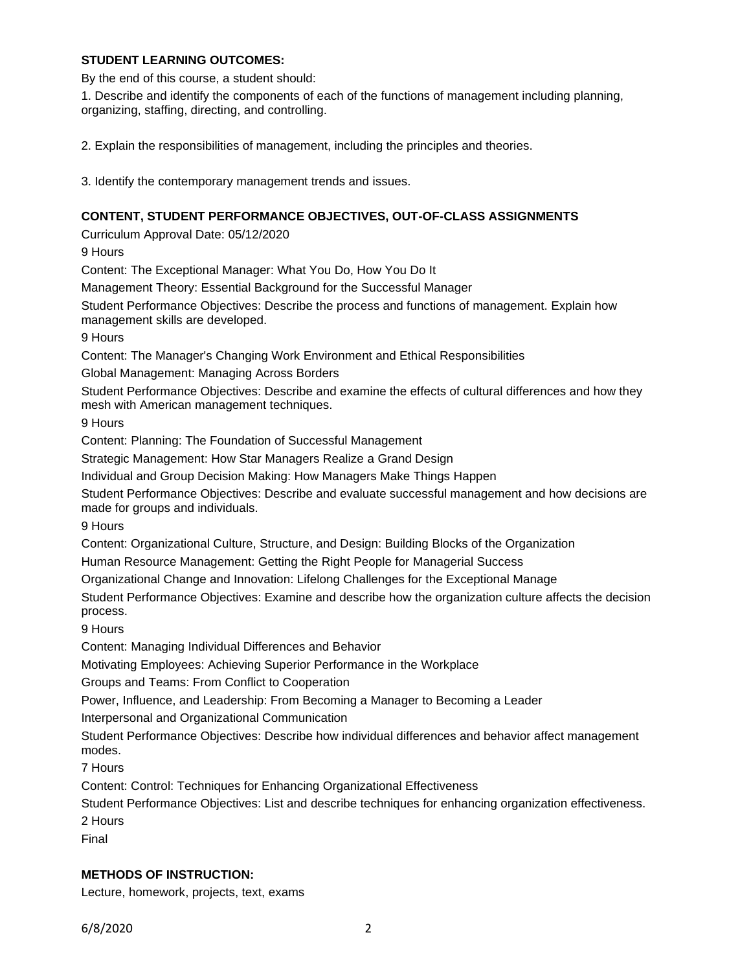## **STUDENT LEARNING OUTCOMES:**

By the end of this course, a student should:

1. Describe and identify the components of each of the functions of management including planning, organizing, staffing, directing, and controlling.

2. Explain the responsibilities of management, including the principles and theories.

3. Identify the contemporary management trends and issues.

### **CONTENT, STUDENT PERFORMANCE OBJECTIVES, OUT-OF-CLASS ASSIGNMENTS**

Curriculum Approval Date: 05/12/2020

9 Hours

Content: The Exceptional Manager: What You Do, How You Do It

Management Theory: Essential Background for the Successful Manager

Student Performance Objectives: Describe the process and functions of management. Explain how management skills are developed.

9 Hours

Content: The Manager's Changing Work Environment and Ethical Responsibilities

Global Management: Managing Across Borders

Student Performance Objectives: Describe and examine the effects of cultural differences and how they mesh with American management techniques.

9 Hours

Content: Planning: The Foundation of Successful Management

Strategic Management: How Star Managers Realize a Grand Design

Individual and Group Decision Making: How Managers Make Things Happen

Student Performance Objectives: Describe and evaluate successful management and how decisions are made for groups and individuals.

9 Hours

Content: Organizational Culture, Structure, and Design: Building Blocks of the Organization

Human Resource Management: Getting the Right People for Managerial Success

Organizational Change and Innovation: Lifelong Challenges for the Exceptional Manage

Student Performance Objectives: Examine and describe how the organization culture affects the decision process.

9 Hours

Content: Managing Individual Differences and Behavior

Motivating Employees: Achieving Superior Performance in the Workplace

Groups and Teams: From Conflict to Cooperation

Power, Influence, and Leadership: From Becoming a Manager to Becoming a Leader

Interpersonal and Organizational Communication

Student Performance Objectives: Describe how individual differences and behavior affect management modes.

7 Hours

Content: Control: Techniques for Enhancing Organizational Effectiveness

Student Performance Objectives: List and describe techniques for enhancing organization effectiveness.

2 Hours

Final

### **METHODS OF INSTRUCTION:**

Lecture, homework, projects, text, exams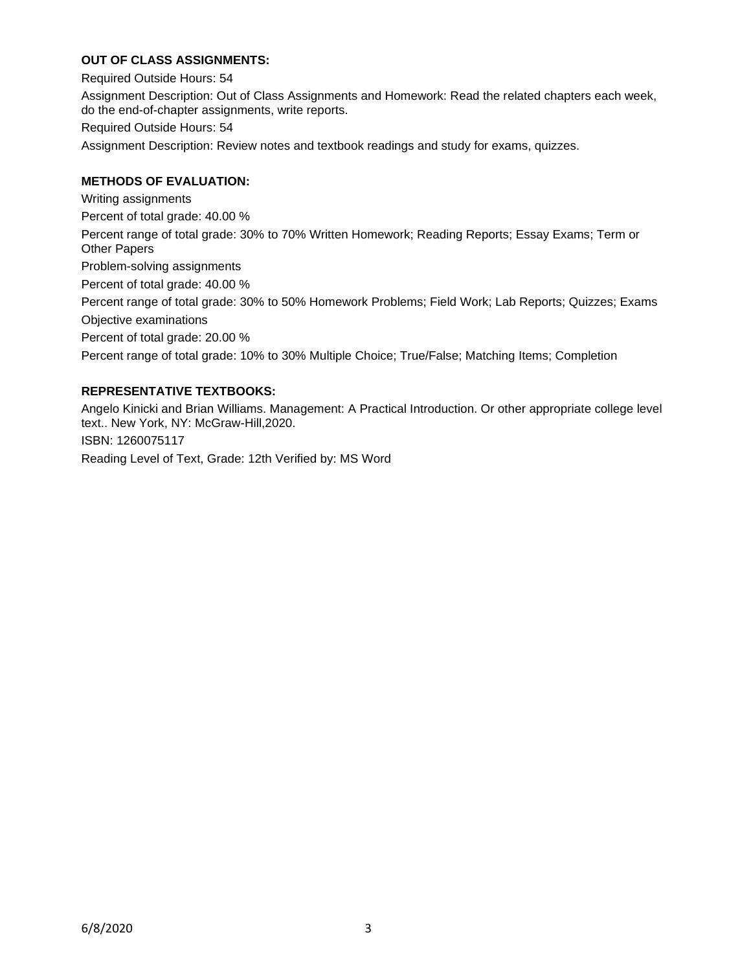# **OUT OF CLASS ASSIGNMENTS:**

Required Outside Hours: 54

Assignment Description: Out of Class Assignments and Homework: Read the related chapters each week, do the end-of-chapter assignments, write reports.

Required Outside Hours: 54

Assignment Description: Review notes and textbook readings and study for exams, quizzes.

# **METHODS OF EVALUATION:**

Writing assignments Percent of total grade: 40.00 % Percent range of total grade: 30% to 70% Written Homework; Reading Reports; Essay Exams; Term or Other Papers Problem-solving assignments Percent of total grade: 40.00 % Percent range of total grade: 30% to 50% Homework Problems; Field Work; Lab Reports; Quizzes; Exams Objective examinations Percent of total grade: 20.00 % Percent range of total grade: 10% to 30% Multiple Choice; True/False; Matching Items; Completion

# **REPRESENTATIVE TEXTBOOKS:**

Angelo Kinicki and Brian Williams. Management: A Practical Introduction. Or other appropriate college level text.. New York, NY: McGraw-Hill,2020. ISBN: 1260075117

Reading Level of Text, Grade: 12th Verified by: MS Word